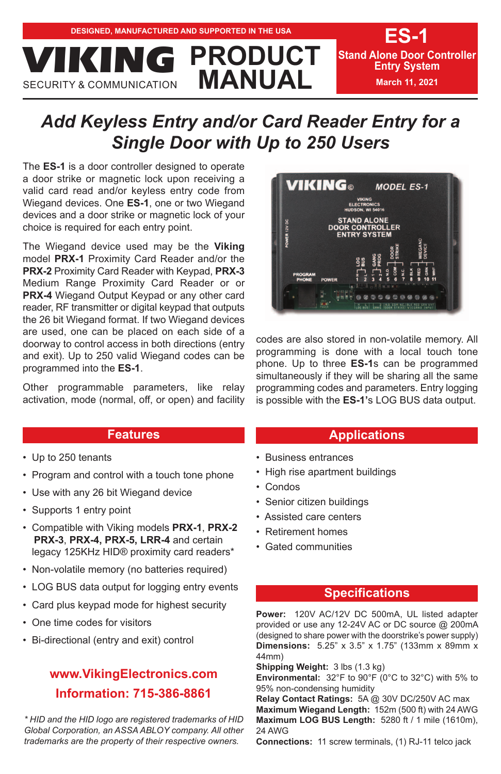

# *Add Keyless Entry and/or Card Reader Entry for a Single Door with Up to 250 Users*

The **ES-1** is a door controller designed to operate a door strike or magnetic lock upon receiving a valid card read and/or keyless entry code from Wiegand devices. One **ES-1**, one or two Wiegand devices and a door strike or magnetic lock of your choice is required for each entry point.

The Wiegand device used may be the **Viking** model **PRX-1** Proximity Card Reader and/or the **PRX-2** Proximity Card Reader with Keypad, **PRX-3** Medium Range Proximity Card Reader or or **PRX-4** Wiegand Output Keypad or any other card reader, RF transmitter or digital keypad that outputs the 26 bit Wiegand format. If two Wiegand devices are used, one can be placed on each side of a doorway to control access in both directions (entry and exit). Up to 250 valid Wiegand codes can be programmed into the **ES-1**.

Other programmable parameters, like relay activation, mode (normal, off, or open) and facility

# **Features**

- Up to 250 tenants
- Program and control with a touch tone phone
- Use with any 26 bit Wiegand device
- Supports 1 entry point
- Compatible with Viking models **PRX-1**, **PRX-2 PRX-3**, **PRX-4, PRX-5, LRR-4** and certain legacy 125KHz HID® proximity card readers\*
- Non-volatile memory (no batteries required)
- LOG BUS data output for logging entry events
- Card plus keypad mode for highest security
- One time codes for visitors
- Bi-directional (entry and exit) control

# **www.VikingElectronics.com Information: 715-386-8861**

*\* HID and the HID logo are registered trademarks of HID Global Corporation, an ASSA ABLOY company. All other trademarks are the property of their respective owners.*



codes are also stored in non-volatile memory. All programming is done with a local touch tone phone. Up to three **ES-1**s can be programmed simultaneously if they will be sharing all the same programming codes and parameters. Entry logging is possible with the **ES-1'**s LOG BUS data output.

# **Applications**

- Business entrances
- High rise apartment buildings
- Condos
- Senior citizen buildings
- Assisted care centers
- Retirement homes
- Gated communities

### **Specifications**

**Power:** 120V AC/12V DC 500mA, UL listed adapter provided or use any 12-24V AC or DC source @ 200mA (designed to share power with the doorstrike's power supply) **Dimensions:** 5.25" x 3.5" x 1.75" (133mm x 89mm x 44mm)

**Shipping Weight:** 3 lbs (1.3 kg)

**Environmental:** 32°F to 90°F (0°C to 32°C) with 5% to 95% non-condensing humidity

**Relay Contact Ratings:** 5A @ 30V DC/250V AC max **Maximum Wiegand Length:** 152m (500 ft) with 24 AWG **Maximum LOG BUS Length:** 5280 ft / 1 mile (1610m), 24 AWG

**Connections:** 11 screw terminals, (1) RJ-11 telco jack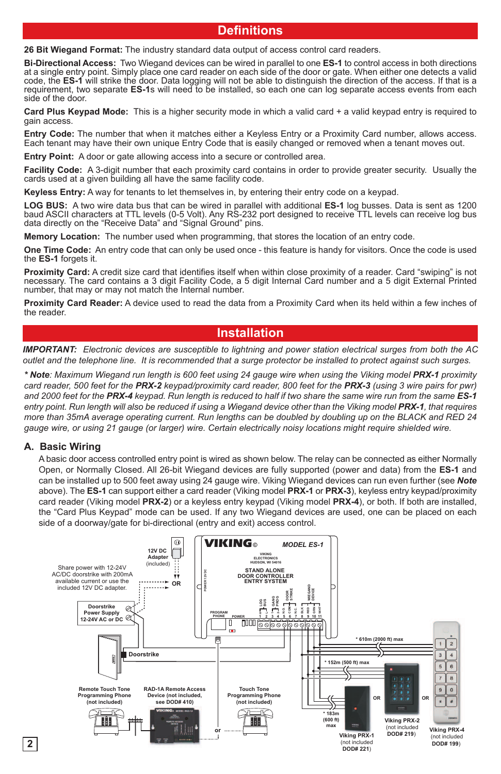# **Definitions**

**26 Bit Wiegand Format:** The industry standard data output of access control card readers.

**Bi-Directional Access:** Two Wiegand devices can be wired in parallel to one **ES-1** to control access in both directions at a single entry point. Simply place one card reader on each side of the door or gate. When either one detects a valid code, the **ES-1** will strike the door. Data logging will not be able to distinguish the direction of the access. If that is a requirement, two separate **ES-1**s will need to be installed, so each one can log separate access events from each side of the door.

**Card Plus Keypad Mode:** This is a higher security mode in which a valid card + a valid keypad entry is required to gain access.

**Entry Code:** The number that when it matches either a Keyless Entry or a Proximity Card number, allows access. Each tenant may have their own unique Entry Code that is easily changed or removed when a tenant moves out.

**Entry Point:** A door or gate allowing access into a secure or controlled area.

**Facility Code:** A 3-digit number that each proximity card contains in order to provide greater security. Usually the cards used at a given building all have the same facility code.

**Keyless Entry:** A way for tenants to let themselves in, by entering their entry code on a keypad.

**LOG BUS:** A two wire data bus that can be wired in parallel with additional **ES-1** log busses. Data is sent as 1200 baud ASCII characters at TTL levels (0-5 Volt). Any RS-232 port designed to receive TTL levels can receive log bus data directly on the "Receive Data" and "Signal Ground" pins.

**Memory Location:** The number used when programming, that stores the location of an entry code.

**One Time Code:** An entry code that can only be used once - this feature is handy for visitors. Once the code is used the **ES-1** forgets it.

**Proximity Card:** A credit size card that identifies itself when within close proximity of a reader. Card "swiping" is not necessary. The card contains a 3 digit Facility Code, a 5 digit Internal Card number and a 5 digit External Printed number, that may or may not match the Internal number.

**Proximity Card Reader:** A device used to read the data from a Proximity Card when its held within a few inches of the reader.

#### **Installation**

*IMPORTANT: Electronic devices are susceptible to lightning and power station electrical surges from both the AC outlet and the telephone line. It is recommended that a surge protector be installed to protect against such surges.* 

*\* Note: Maximum Wiegand run length is 600 feet using 24 gauge wire when using the Viking model PRX-1 proximity card reader, 500 feet for the PRX-2 keypad/proximity card reader, 800 feet for the PRX-3 (using 3 wire pairs for pwr) and 2000 feet for the PRX-4 keypad. Run length is reduced to half if two share the same wire run from the same ES-1 entry point. Run length will also be reduced if using a Wiegand device other than the Viking model PRX-1, that requires more than 35mA average operating current. Run lengths can be doubled by doubling up on the BLACK and RED 24 gauge wire, or using 21 gauge (or larger) wire. Certain electrically noisy locations might require shielded wire.*

#### **A. Basic Wiring**

**2**

A basic door access controlled entry point is wired as shown below. The relay can be connected as either Normally Open, or Normally Closed. All 26-bit Wiegand devices are fully supported (power and data) from the **ES-1** and can be installed up to 500 feet away using 24 gauge wire. Viking Wiegand devices can run even further (see *Note* above). The **ES-1** can support either a card reader (Viking model **PRX-1** or **PRX-3**), keyless entry keypad/proximity card reader (Viking model **PRX-2**) or a keyless entry keypad (Viking model **PRX-4**), or both. If both are installed, the "Card Plus Keypad" mode can be used. If any two Wiegand devices are used, one can be placed on each side of a doorway/gate for bi-directional (entry and exit) access control.

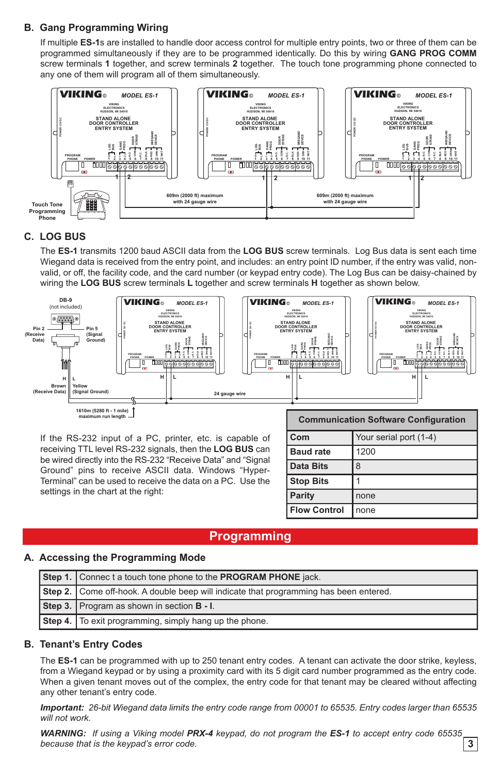### **B. Gang Programming Wiring**

If multiple **ES-1**s are installed to handle door access control for multiple entry points, two or three of them can be programmed simultaneously if they are to be programmed identically. Do this by wiring **GANG PROG COMM** screw terminals **1** together, and screw terminals **2** together. The touch tone programming phone connected to any one of them will program all of them simultaneously.



#### **C. LOG BUS**

The **ES-1** transmits 1200 baud ASCII data from the **LOG BUS** screw terminals. Log Bus data is sent each time Wiegand data is received from the entry point, and includes: an entry point ID number, if the entry was valid, nonvalid, or off, the facility code, and the card number (or keypad entry code). The Log Bus can be daisy-chained by wiring the **LOG BUS** screw terminals **L** together and screw terminals **H** together as shown below.



If the RS-232 input of a PC, printer, etc. is capable of receiving TTL level RS-232 signals, then the **LOG BUS** can be wired directly into the RS-232 "Receive Data" and "Signal Ground" pins to receive ASCII data. Windows "Hyper-Terminal" can be used to receive the data on a PC. Use the settings in the chart at the right:

| <b>Communication Software Configuration</b> |                        |
|---------------------------------------------|------------------------|
| Com                                         | Your serial port (1-4) |
| <b>Baud rate</b>                            | 1200                   |
| <b>Data Bits</b>                            | 8                      |
| <b>Stop Bits</b>                            |                        |
| Parity                                      | none                   |
| <b>Flow Control</b>                         | none                   |

## **Programming**

#### **A. Accessing the Programming Mode**

| Step 1. Connec t a touch tone phone to the PROGRAM PHONE jack.                        |  |
|---------------------------------------------------------------------------------------|--|
| Step 2. Come off-hook. A double beep will indicate that programming has been entered. |  |
| Step 3. Program as shown in section <b>B</b> - I.                                     |  |
| Step 4. To exit programming, simply hang up the phone.                                |  |

#### **B. Tenant's Entry Codes**

The **ES-1** can be programmed with up to 250 tenant entry codes. A tenant can activate the door strike, keyless, from a Wiegand keypad or by using a proximity card with its 5 digit card number programmed as the entry code. When a given tenant moves out of the complex, the entry code for that tenant may be cleared without affecting any other tenant's entry code.

*Important: 26-bit Wiegand data limits the entry code range from 00001 to 65535. Entry codes larger than 65535 will not work.* 

*WARNING: If using a Viking model PRX-4 keypad, do not program the ES-1 to accept entry code 65535 because that is the keypad's error code.* **3**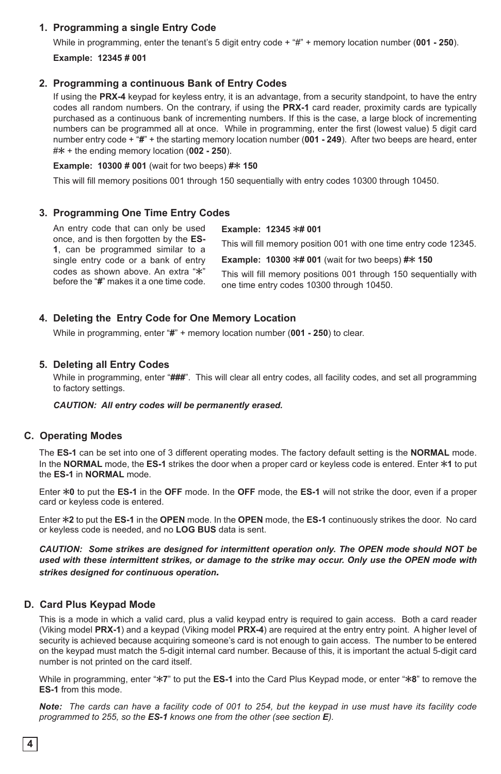#### **1. Programming a single Entry Code**

While in programming, enter the tenant's 5 digit entry code + "#" + memory location number (**001 - 250**). **Example: 12345 # 001**

#### 2. Programming a continuous Bank of Entry Codes

If using the **PRX-4** keypad for keyless entry, it is an advantage, from a security standpoint, to have the entry codes all random numbers. On the contrary, if using the **PRX-1** card reader, proximity cards are typically purchased as a continuous bank of incrementing numbers. If this is the case, a large block of incrementing numbers can be programmed all at once. While in programming, enter the first (lowest value) 5 digit card number entry code + "**#**" + the starting memory location number (**001 - 249**). After two beeps are heard, enter #Q + the ending memory location (**002 - 250**).

#### **Example: 10300 # 001** (wait for two beeps) # $*$  150

This will fill memory positions 001 through 150 sequentially with entry codes 10300 through 10450.

#### **3. Programming One Time Entry Codes**

An entry code that can only be used once, and is then forgotten by the **ES-1**, can be programmed similar to a single entry code or a bank of entry codes as shown above. An extra "\*" before the "**#**" makes it a one time code. **Example: 12345 \*# 001** This will fill memory position 001 with one time entry code 12345. **Example: 10300**  $*$ **# 001** (wait for two beeps) # $*$  150 This will fill memory positions 001 through 150 sequentially with one time entry codes 10300 through 10450.

#### **4. Deleting the Entry Code for One Memory Location**

While in programming, enter "**#**" + memory location number (**001 - 250**) to clear.

#### **5. Deleting all Entry Codes**

While in programming, enter "**###**". This will clear all entry codes, all facility codes, and set all programming to factory settings.

*CAUTION: All entry codes will be permanently erased.*

#### **C. Operating Modes**

The **ES-1** can be set into one of 3 different operating modes. The factory default setting is the **NORMAL** mode. In the **NORMAL** mode, the **ES-1** strikes the door when a proper card or keyless code is entered. Enter  $*1$  to put the **ES-1** in **NORMAL** mode.

Enter Q**0** to put the **ES-1** in the **OFF** mode. In the **OFF** mode, the **ES-1** will not strike the door, even if a proper card or keyless code is entered.

Enter Q**2** to put the **ES-1** in the **OPEN** mode. In the **OPEN** mode, the **ES-1** continuously strikes the door. No card or keyless code is needed, and no **LOG BUS** data is sent.

*CAUTION: Some strikes are designed for intermittent operation only. The OPEN mode should NOT be used with these intermittent strikes, or damage to the strike may occur. Only use the OPEN mode with strikes designed for continuous operation.*

#### **D. Card Plus Keypad Mode**

This is a mode in which a valid card, plus a valid keypad entry is required to gain access. Both a card reader (Viking model **PRX-1**) and a keypad (Viking model **PRX-4**) are required at the entry entry point. A higher level of security is achieved because acquiring someone's card is not enough to gain access. The number to be entered on the keypad must match the 5-digit internal card number. Because of this, it is important the actual 5-digit card number is not printed on the card itself.

While in programming, enter "\*7" to put the ES-1 into the Card Plus Keypad mode, or enter "\*8" to remove the **ES-1** from this mode.

*Note: The cards can have a facility code of 001 to 254, but the keypad in use must have its facility code programmed to 255, so the ES-1 knows one from the other (see section E).*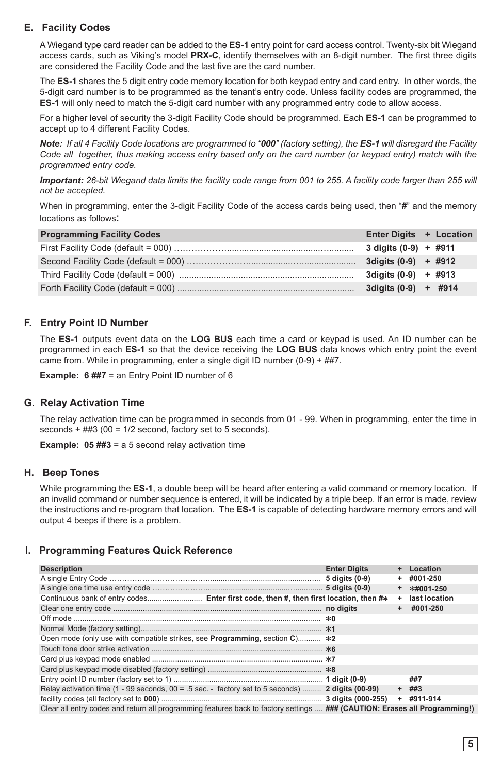### **E. Facility Codes**

A Wiegand type card reader can be added to the **ES-1** entry point for card access control. Twenty-six bit Wiegand access cards, such as Viking's model **PRX-C**, identify themselves with an 8-digit number. The first three digits are considered the Facility Code and the last five are the card number.

The **ES-1** shares the 5 digit entry code memory location for both keypad entry and card entry. In other words, the 5-digit card number is to be programmed as the tenant's entry code. Unless facility codes are programmed, the **ES-1** will only need to match the 5-digit card number with any programmed entry code to allow access.

For a higher level of security the 3-digit Facility Code should be programmed. Each **ES-1** can be programmed to accept up to 4 different Facility Codes.

*Note: If all 4 Facility Code locations are programmed to "000" (factory setting), the ES-1 will disregard the Facility Code all together, thus making access entry based only on the card number (or keypad entry) match with the programmed entry code.*

*Important: 26-bit Wiegand data limits the facility code range from 001 to 255. A facility code larger than 255 will not be accepted.*

When in programming, enter the 3-digit Facility Code of the access cards being used, then "**#**" and the memory locations as follows:

| <b>Programming Facility Codes</b> | Enter Digits + Location |  |
|-----------------------------------|-------------------------|--|
|                                   |                         |  |
|                                   | 3 digits $(0-9)$ + #912 |  |
|                                   | 3 digits $(0-9)$ + #913 |  |
|                                   | $3$ digits (0-9) + #914 |  |

#### **F. Entry Point ID Number**

The **ES-1** outputs event data on the **LOG BUS** each time a card or keypad is used. An ID number can be programmed in each **ES-1** so that the device receiving the **LOG BUS** data knows which entry point the event came from. While in programming, enter a single digit ID number (0-9) + ##7.

**Example: 6 ##7** = an Entry Point ID number of 6

#### **G. Relay Activation Time**

The relay activation time can be programmed in seconds from 01 - 99. When in programming, enter the time in seconds  $+$  ##3 (00 = 1/2 second, factory set to 5 seconds).

**Example: 05 ##3** = a 5 second relay activation time

#### **H. Beep Tones**

While programming the **ES-1**, a double beep will be heard after entering a valid command or memory location. If an invalid command or number sequence is entered, it will be indicated by a triple beep. If an error is made, review the instructions and re-program that location. The **ES-1** is capable of detecting hardware memory errors and will output 4 beeps if there is a problem.

#### **I. Programming Features Quick Reference**

| <b>Description</b>                                                                                                         | <b>Enter Digits</b> | $\ddot{}$ | Location      |
|----------------------------------------------------------------------------------------------------------------------------|---------------------|-----------|---------------|
|                                                                                                                            |                     | ۰         | #001-250      |
|                                                                                                                            |                     | $\ddot{}$ | *#001-250     |
| Continuous bank of entry codes Enter first code, then #, then first location, then #*                                      |                     | ٠         | last location |
|                                                                                                                            |                     |           | $+$ #001-250  |
|                                                                                                                            |                     |           |               |
|                                                                                                                            |                     |           |               |
| Open mode (only use with compatible strikes, see <b>Programming</b> , section $C$ ) $*2$                                   |                     |           |               |
|                                                                                                                            |                     |           |               |
|                                                                                                                            |                     |           |               |
|                                                                                                                            |                     |           |               |
|                                                                                                                            |                     |           | ##7           |
| Relay activation time (1 - 99 seconds, $00 = .5$ sec. - factory set to 5 seconds)  2 digits (00-99)                        |                     |           | $+$ ##3       |
|                                                                                                                            |                     |           | $+$ #911-914  |
| Clear all entry codes and return all programming features back to factory settings  ### (CAUTION: Erases all Programming!) |                     |           |               |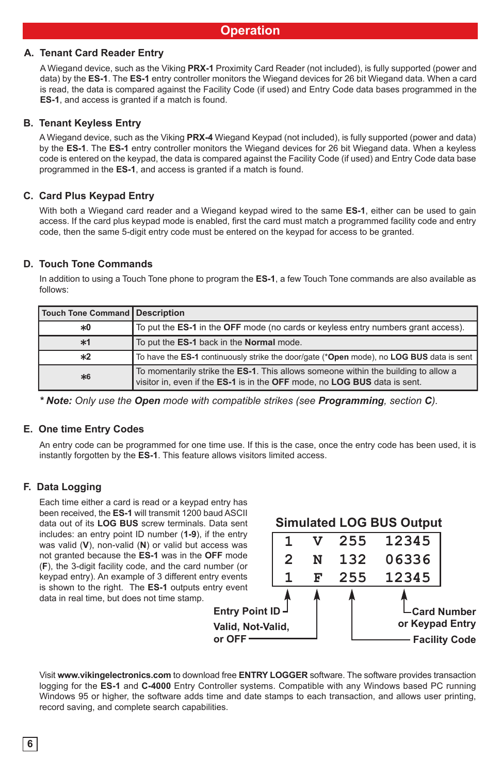#### **A. Tenant Card Reader Entry**

A Wiegand device, such as the Viking **PRX-1** Proximity Card Reader (not included), is fully supported (power and data) by the **ES-1**. The **ES-1** entry controller monitors the Wiegand devices for 26 bit Wiegand data. When a card is read, the data is compared against the Facility Code (if used) and Entry Code data bases programmed in the **ES-1**, and access is granted if a match is found.

#### **B. Tenant Keyless Entry**

A Wiegand device, such as the Viking **PRX-4** Wiegand Keypad (not included), is fully supported (power and data) by the **ES-1**. The **ES-1** entry controller monitors the Wiegand devices for 26 bit Wiegand data. When a keyless code is entered on the keypad, the data is compared against the Facility Code (if used) and Entry Code data base programmed in the **ES-1**, and access is granted if a match is found.

### **C. Card Plus Keypad Entry**

With both a Wiegand card reader and a Wiegand keypad wired to the same **ES-1**, either can be used to gain access. If the card plus keypad mode is enabled, first the card must match a programmed facility code and entry code, then the same 5-digit entry code must be entered on the keypad for access to be granted.

#### **D. Touch Tone Commands**

In addition to using a Touch Tone phone to program the **ES-1**, a few Touch Tone commands are also available as follows:

| Touch Tone Command   Description |                                                                                                                                                                 |
|----------------------------------|-----------------------------------------------------------------------------------------------------------------------------------------------------------------|
| *0                               | To put the <b>ES-1</b> in the <b>OFF</b> mode (no cards or keyless entry numbers grant access).                                                                 |
| $*1$                             | To put the ES-1 back in the Normal mode.                                                                                                                        |
| $*2$                             | To have the ES-1 continuously strike the door/gate (*Open mode), no LOG BUS data is sent                                                                        |
| *6                               | To momentarily strike the ES-1. This allows someone within the building to allow a<br>visitor in, even if the ES-1 is in the OFF mode, no LOG BUS data is sent. |

*\* Note: Only use the Open mode with compatible strikes (see Programming, section C).*

#### **E. One time Entry Codes**

An entry code can be programmed for one time use. If this is the case, once the entry code has been used, it is instantly forgotten by the **ES-1**. This feature allows visitors limited access.

#### **F. Data Logging**

Each time either a card is read or a keypad entry has been received, the **ES-1** will transmit 1200 baud ASCII data out of its **LOG BUS** screw terminals. Data sent includes: an entry point ID number (**1-9**), if the entry was valid (**V**), non-valid (**N**) or valid but access was not granted because the **ES-1** was in the **OFF** mode (**F**), the 3-digit facility code, and the card number (or keypad entry). An example of 3 different entry events is shown to the right. The **ES-1** outputs entry event data in real time, but does not time stamp.



Visit **www.vikingelectronics.com** to download free **ENTRY LOGGER** software. The software provides transaction logging for the **ES-1** and **C-4000** Entry Controller systems. Compatible with any Windows based PC running Windows 95 or higher, the software adds time and date stamps to each transaction, and allows user printing, record saving, and complete search capabilities.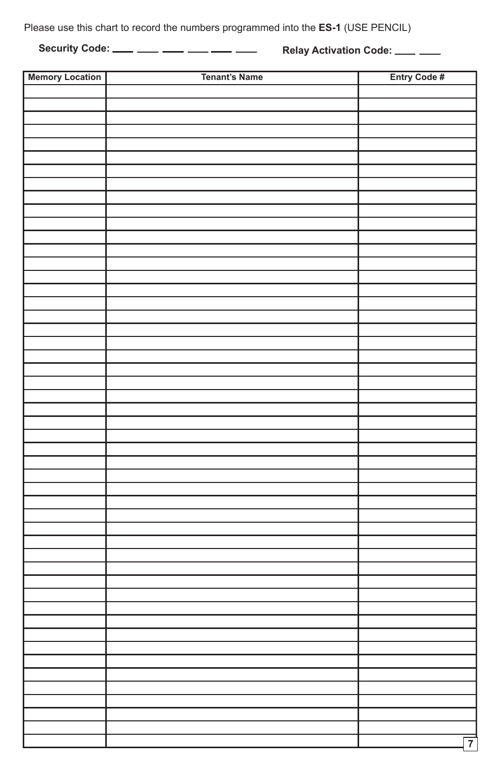Please use this chart to record the numbers programmed into the **ES-1** (USE PENCIL)

**Security Code:** \_\_\_\_ \_\_\_ \_\_\_ \_\_\_ \_\_\_ \_\_\_ Relay Activation Code: \_\_\_ \_\_\_

| <b>Memory Location</b> | <b>Tenant's Name</b> | Entry Code #   |
|------------------------|----------------------|----------------|
|                        |                      |                |
|                        |                      |                |
|                        |                      |                |
|                        |                      |                |
|                        |                      |                |
|                        |                      |                |
|                        |                      |                |
|                        |                      |                |
|                        |                      |                |
|                        |                      |                |
|                        |                      |                |
|                        |                      |                |
|                        |                      |                |
|                        |                      |                |
|                        |                      |                |
|                        |                      |                |
|                        |                      |                |
|                        |                      |                |
|                        |                      |                |
|                        |                      |                |
|                        |                      |                |
|                        |                      |                |
|                        |                      |                |
|                        |                      |                |
|                        |                      |                |
|                        |                      |                |
|                        |                      |                |
|                        |                      |                |
|                        |                      |                |
|                        |                      |                |
|                        |                      |                |
|                        |                      |                |
|                        |                      |                |
|                        |                      |                |
|                        |                      |                |
|                        |                      |                |
|                        |                      |                |
|                        |                      |                |
|                        |                      |                |
|                        |                      |                |
|                        |                      |                |
|                        |                      |                |
|                        |                      |                |
|                        |                      |                |
|                        |                      |                |
|                        |                      |                |
|                        |                      |                |
|                        |                      |                |
|                        |                      |                |
|                        |                      |                |
|                        |                      | $\overline{7}$ |